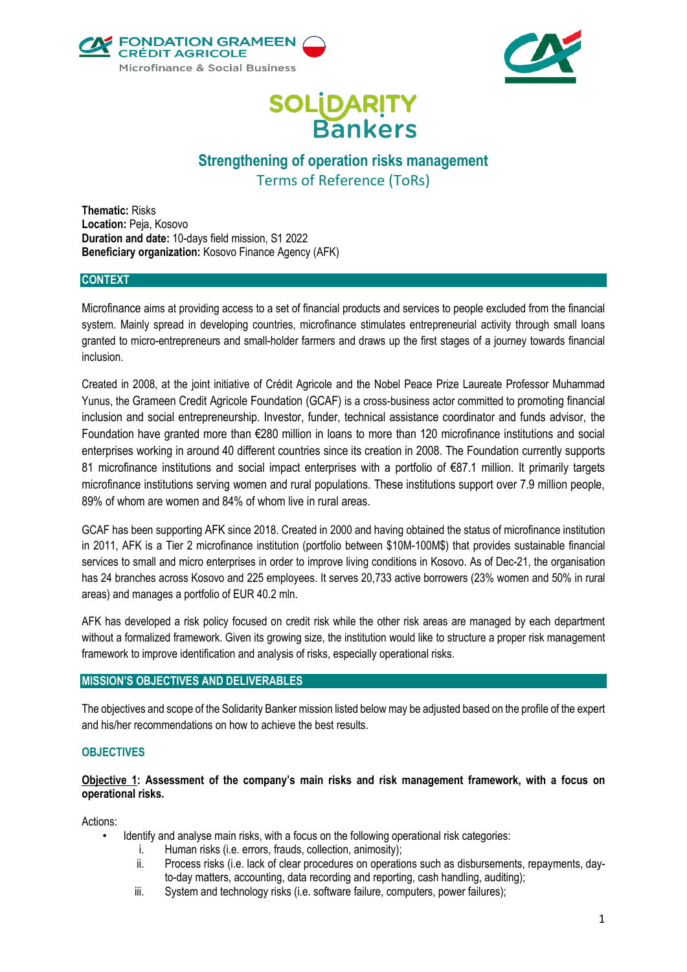



# **SOLIDARITY**<br>Bankers

## **Strengthening of operation risks management** Terms of Reference (ToRs)

**Thematic:** Risks **Location:** Peja, Kosovo **Duration and date:** 10-days field mission, S1 2022 **Beneficiary organization:** Kosovo Finance Agency (AFK)

## **CONTEXT**

Microfinance aims at providing access to a set of financial products and services to people excluded from the financial system. Mainly spread in developing countries, microfinance stimulates entrepreneurial activity through small loans granted to micro-entrepreneurs and small-holder farmers and draws up the first stages of a journey towards financial inclusion.

Created in 2008, at the joint initiative of Crédit Agricole and the Nobel Peace Prize Laureate Professor Muhammad Yunus, the [Grameen Credit Agricole Foundation \(GCAF\)](https://www.gca-foundation.org/en/) is a cross-business actor committed to promoting financial inclusion and social entrepreneurship. Investor, funder, technical assistance coordinator and funds advisor, the Foundation have granted more than €280 million in loans to more than 120 microfinance institutions and social enterprises working in around 40 different countries since its creation in 2008. The Foundation currently supports 81 microfinance institutions and social impact enterprises with a portfolio of €87.1 million. It primarily targets microfinance institutions serving women and rural populations. These institutions support over 7.9 million people, 89% of whom are women and 84% of whom live in rural areas.

GCAF has been supporting [AFK](https://www.gca-foundation.org/en/organisation/salym-finance-2/) since 2018. Created in 2000 and having obtained the status of microfinance institution in 2011, AFK is a Tier 2 microfinance institution (portfolio between \$10M-100M\$) that provides sustainable financial services to small and micro enterprises in order to improve living conditions in Kosovo. As of Dec-21, the organisation has 24 branches across Kosovo and 225 employees. It serves 20,733 active borrowers (23% women and 50% in rural areas) and manages a portfolio of EUR 40.2 mln.

AFK has developed a risk policy focused on credit risk while the other risk areas are managed by each department without a formalized framework. Given its growing size, the institution would like to structure a proper risk management framework to improve identification and analysis of risks, especially operational risks.

## **MISSION'S OBJECTIVES AND DELIVERABLES**

The objectives and scope of the Solidarity Banker mission listed below may be adjusted based on the profile of the expert and his/her recommendations on how to achieve the best results.

## **OBJECTIVES**

## **Objective 1: Assessment of the company's main risks and risk management framework, with a focus on operational risks.**

Actions:

- Identify and analyse main risks, with a focus on the following operational risk categories:
	- i. Human risks (i.e. errors, frauds, collection, animosity);
	- ii. Process risks (i.e. lack of clear procedures on operations such as disbursements, repayments, dayto-day matters, accounting, data recording and reporting, cash handling, auditing);
	- iii. System and technology risks (i.e. software failure, computers, power failures);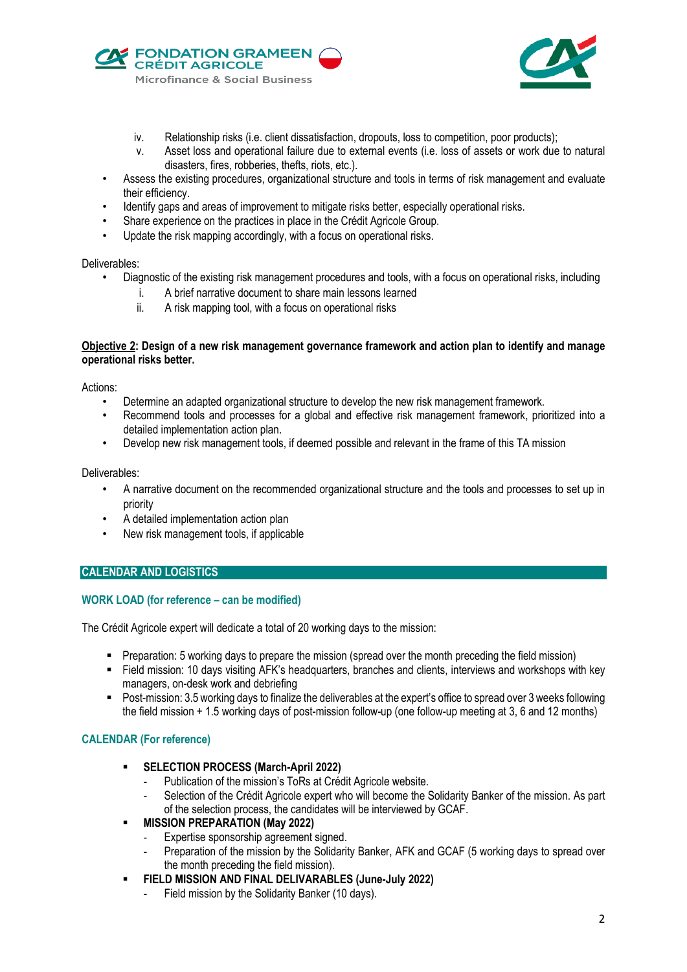



- iv. Relationship risks (i.e. client dissatisfaction, dropouts, loss to competition, poor products);
- v. Asset loss and operational failure due to external events (i.e. loss of assets or work due to natural disasters, fires, robberies, thefts, riots, etc.).
- Assess the existing procedures, organizational structure and tools in terms of risk management and evaluate their efficiency.
- Identify gaps and areas of improvement to mitigate risks better, especially operational risks.
- Share experience on the practices in place in the Crédit Agricole Group.
- Update the risk mapping accordingly, with a focus on operational risks.

## Deliverables:

- Diagnostic of the existing risk management procedures and tools, with a focus on operational risks, including
	- i. A brief narrative document to share main lessons learned
	- ii. A risk mapping tool, with a focus on operational risks

## **Objective 2: Design of a new risk management governance framework and action plan to identify and manage operational risks better.**

## Actions:

- Determine an adapted organizational structure to develop the new risk management framework.
- Recommend tools and processes for a global and effective risk management framework, prioritized into a detailed implementation action plan.
- Develop new risk management tools, if deemed possible and relevant in the frame of this TA mission

## Deliverables:

- A narrative document on the recommended organizational structure and the tools and processes to set up in priority
- A detailed implementation action plan
- New risk management tools, if applicable

## **CALENDAR AND LOGISTICS**

## **WORK LOAD (for reference – can be modified)**

The Crédit Agricole expert will dedicate a total of 20 working days to the mission:

- Preparation: 5 working days to prepare the mission (spread over the month preceding the field mission)
- Field mission: 10 days visiting AFK's headquarters, branches and clients, interviews and workshops with key managers, on-desk work and debriefing
- Post-mission: 3.5 working days to finalize the deliverables at the expert's office to spread over 3 weeks following the field mission + 1.5 working days of post-mission follow-up (one follow-up meeting at 3, 6 and 12 months)

## **CALENDAR (For reference)**

- **SELECTION PROCESS (March-April 2022)**
	- Publication of the mission's ToRs at Crédit Agricole website.
	- Selection of the Crédit Agricole expert who will become the Solidarity Banker of the mission. As part of the selection process, the candidates will be interviewed by GCAF.
- **MISSION PREPARATION (May 2022)**
	- Expertise sponsorship agreement signed.
	- Preparation of the mission by the Solidarity Banker, AFK and GCAF (5 working days to spread over the month preceding the field mission).
- **FIELD MISSION AND FINAL DELIVARABLES (June-July 2022)**
	- Field mission by the Solidarity Banker (10 days).